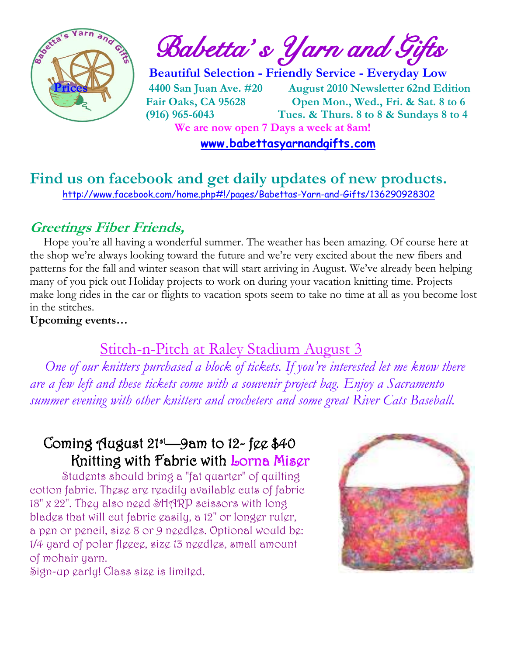

 $\frac{1}{2}$  and  $\frac{1}{2}$  **Babetta's Yarn and Gifts** 

 **Beautiful Selection - Friendly Service - Everyday Low Prices 4400 San Juan Ave. #20 August 2010 Newsletter 62nd Edition Fair Oaks, CA 95628 Open Mon., Wed., Fri. & Sat. 8 to 6 (916) 965-6043 Tues. & Thurs. 8 to 8 & Sundays 8 to 4 We are now open 7 Days a week at 8am!** 

 **[www.babettasyarnandgifts.com](http://www.babettasyarnandgifts.com/)**

## **Find us on facebook and get daily updates of new products.**  <http://www.facebook.com/home.php#!/pages/Babettas-Yarn-and-Gifts/136290928302>

## **Greetings Fiber Friends,**

 Hope you're all having a wonderful summer. The weather has been amazing. Of course here at the shop we're always looking toward the future and we're very excited about the new fibers and patterns for the fall and winter season that will start arriving in August. We've already been helping many of you pick out Holiday projects to work on during your vacation knitting time. Projects make long rides in the car or flights to vacation spots seem to take no time at all as you become lost in the stitches.

**Upcoming events…**

## Stitch-n-Pitch at Raley Stadium August 3

*One of our knitters purchased a block of tickets. If you're interested let me know there are a few left and these tickets come with a souvenir project bag. Enjoy a Sacramento summer evening with other knitters and crocheters and some great River Cats Baseball.*

## Coming August  $21^{st}$ —9am to  $12$ - fee \$40 Knitting with Fabric with Lorna Miser

Students should bring a "fat quarter" of quilting cotton fabric. These are readily available cuts of fabric 18" x 22". They also need SHARP scissors with long blades that will cut fabric easily, a 12" or longer ruler, a pen or pencil, size 8 or 9 needles. Optional would be: 1/4 yard of polar fleece, size 13 needles, small amount of mohair yarn.



Sign-up early! Class size is limited.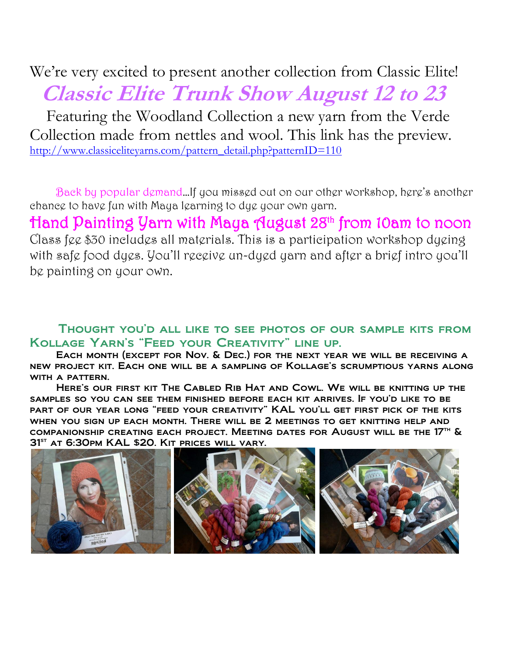We're very excited to present another collection from Classic Elite!  **Classic Elite Trunk Show August 12 to 23** Featuring the Woodland Collection a new yarn from the Verde Collection made from nettles and wool. This link has the preview. [http://www.classiceliteyarns.com/pattern\\_detail.php?patternID=110](http://www.classiceliteyarns.com/pattern_detail.php?patternID=110)

 Back by popular demand…If you missed out on our other workshop, here's another chance to have fun with Maya learning to dye your own yarn.

Hand Painting Yarn with Maya August 28th from 10am to noon Class fee \$30 includes all materials. This is a participation workshop dyeing with safe food dyes. You'll receive un-dyed yarn and after a brief intro you'll be painting on your own.

#### Thought you'd all like to see photos of our sample kits from Kollage Yarn's "Feed your Creativity" line up.

 Each month (except for Nov. & Dec.) for the next year we will be receiving a new project kit. Each one will be a sampling of Kollage's scrumptious yarns along WITH A PATTERN.

 Here's our first kit The Cabled Rib Hat and Cowl. We will be knitting up the samples so you can see them finished before each kit arrives. If you'd like to be part of our year long "feed your creativity" KAL you'll get first pick of the kits when you sign up each month. There will be 2 meetings to get knitting help and companionship creating each project. Meeting dates for August will be the  $17<sup>th</sup>$  &  $31<sup>ST</sup>$  AT 6:30pm KAL \$20. KIT prices will vary.

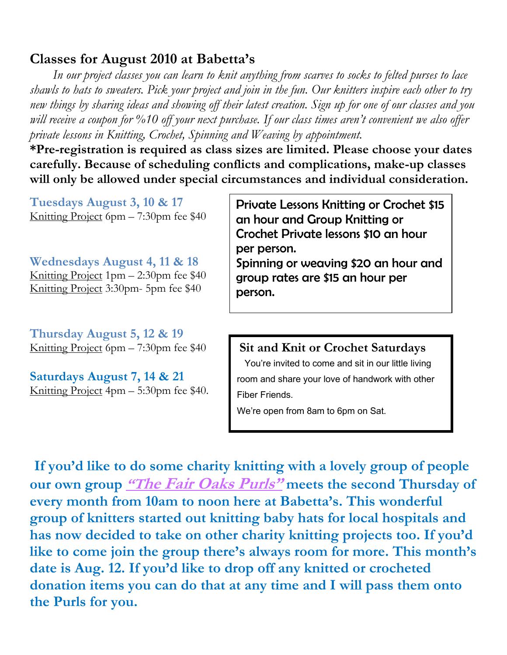## **Classes for August 2010 at Babetta's**

 *In our project classes you can learn to knit anything from scarves to socks to felted purses to lace shawls to hats to sweaters. Pick your project and join in the fun. Our knitters inspire each other to try new things by sharing ideas and showing off their latest creation. Sign up for one of our classes and you will receive a coupon for %10 off your next purchase. If our class times aren't convenient we also offer private lessons in Knitting, Crochet, Spinning and Weaving by appointment.*

**\*Pre-registration is required as class sizes are limited. Please choose your dates carefully. Because of scheduling conflicts and complications, make-up classes will only be allowed under special circumstances and individual consideration.**

**Tuesdays August 3, 10 & 17** Knitting Project 6pm – 7:30pm fee \$40

**Wednesdays August 4, 11 & 18** Knitting Project 1pm – 2:30pm fee \$40 Knitting Project 3:30pm- 5pm fee \$40

**Thursday August 5, 12 & 19** Knitting Project 6pm – 7:30pm fee \$40

**Saturdays August 7, 14 & 21** Knitting Project 4pm – 5:30pm fee \$40.

Private Lessons Knitting or Crochet \$15 an hour and Group Knitting or Crochet Private lessons \$10 an hour per person. Spinning or weaving \$20 an hour and

group rates are \$15 an hour per person.

**Sit and Knit or Crochet Saturdays**

 You're invited to come and sit in our little living room and share your love of handwork with other Fiber Friends.

We're open from 8am to 6pm on Sat.

**If you'd like to do some charity knitting with a lovely group of people our own group "The Fair Oaks Purls" meets the second Thursday of every month from 10am to noon here at Babetta's. This wonderful group of knitters started out knitting baby hats for local hospitals and has now decided to take on other charity knitting projects too. If you'd like to come join the group there's always room for more. This month's date is Aug. 12. If you'd like to drop off any knitted or crocheted donation items you can do that at any time and I will pass them onto the Purls for you.**